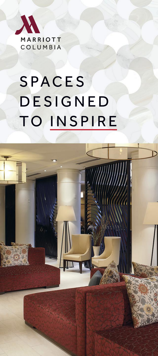

# **SPACES DESIGNED** TO INSPIRE